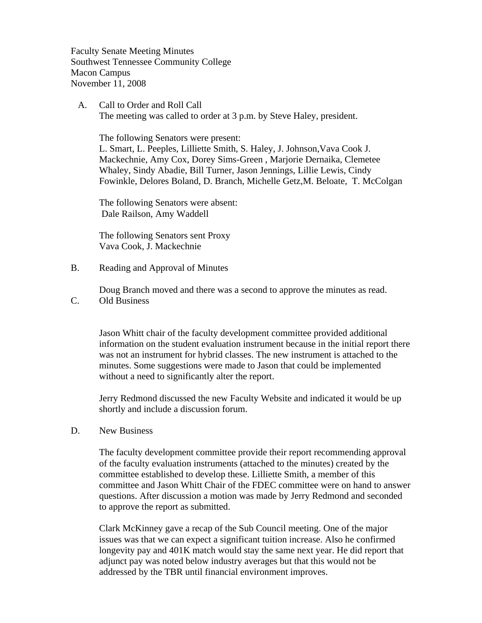Faculty Senate Meeting Minutes Southwest Tennessee Community College Macon Campus November 11, 2008

 A. Call to Order and Roll Call The meeting was called to order at 3 p.m. by Steve Haley, president.

 The following Senators were present: L. Smart, L. Peeples, Lilliette Smith, S. Haley, J. Johnson,Vava Cook J. Mackechnie, Amy Cox, Dorey Sims-Green , Marjorie Dernaika, Clemetee Whaley, Sindy Abadie, Bill Turner, Jason Jennings, Lillie Lewis, Cindy Fowinkle, Delores Boland, D. Branch, Michelle Getz,M. Beloate, T. McColgan

The following Senators were absent: Dale Railson, Amy Waddell

The following Senators sent Proxy Vava Cook, J. Mackechnie

B. Reading and Approval of Minutes

Doug Branch moved and there was a second to approve the minutes as read.

C. Old Business

Jason Whitt chair of the faculty development committee provided additional information on the student evaluation instrument because in the initial report there was not an instrument for hybrid classes. The new instrument is attached to the minutes. Some suggestions were made to Jason that could be implemented without a need to significantly alter the report.

Jerry Redmond discussed the new Faculty Website and indicated it would be up shortly and include a discussion forum.

D. New Business

The faculty development committee provide their report recommending approval of the faculty evaluation instruments (attached to the minutes) created by the committee established to develop these. Lilliette Smith, a member of this committee and Jason Whitt Chair of the FDEC committee were on hand to answer questions. After discussion a motion was made by Jerry Redmond and seconded to approve the report as submitted.

Clark McKinney gave a recap of the Sub Council meeting. One of the major issues was that we can expect a significant tuition increase. Also he confirmed longevity pay and 401K match would stay the same next year. He did report that adjunct pay was noted below industry averages but that this would not be addressed by the TBR until financial environment improves.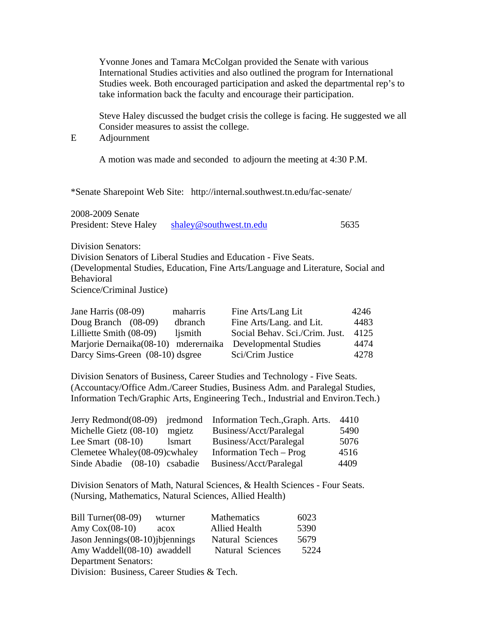Yvonne Jones and Tamara McColgan provided the Senate with various International Studies activities and also outlined the program for International Studies week. Both encouraged participation and asked the departmental rep's to take information back the faculty and encourage their participation.

 Steve Haley discussed the budget crisis the college is facing. He suggested we all Consider measures to assist the college.

E Adjournment

A motion was made and seconded to adjourn the meeting at 4:30 P.M.

\*Senate Sharepoint Web Site: http://internal.southwest.tn.edu/fac-senate/

2008-2009 Senate President: Steve Haley [shaley@southwest.tn.edu](mailto:shaley@southwest.tn.edu) 5635

Division Senators:

Division Senators of Liberal Studies and Education - Five Seats. (Developmental Studies, Education, Fine Arts/Language and Literature, Social and **Behavioral** 

Science/Criminal Justice)

| Jane Harris $(08-09)$                | maharris | Fine Arts/Lang Lit             | 4246 |
|--------------------------------------|----------|--------------------------------|------|
| Doug Branch $(08-09)$                | dbranch  | Fine Arts/Lang. and Lit.       | 4483 |
| Lilliette Smith (08-09)              | ljsmith  | Social Behav. Sci./Crim. Just. | 4125 |
| Marjorie Dernaika(08-10) mderernaika |          | Developmental Studies          | 4474 |
| Darcy Sims-Green (08-10) dsgree      |          | Sci/Crim Justice               | 4278 |

Division Senators of Business, Career Studies and Technology - Five Seats. (Accountacy/Office Adm./Career Studies, Business Adm. and Paralegal Studies, Information Tech/Graphic Arts, Engineering Tech., Industrial and Environ.Tech.)

|                               |               | Jerry Redmond(08-09) jredmond Information Tech., Graph. Arts. | 4410 |
|-------------------------------|---------------|---------------------------------------------------------------|------|
| Michelle Gietz (08-10)        | mgietz        | Business/Acct/Paralegal                                       | 5490 |
| Lee Smart $(08-10)$           | <i>lsmart</i> | Business/Acct/Paralegal                                       | 5076 |
| Clemetee Whaley(08-09)cwhaley |               | Information Tech – Prog                                       | 4516 |
| Sinde Abadie (08-10) csabadie |               | Business/Acct/Paralegal                                       | 4409 |

Division Senators of Math, Natural Sciences, & Health Sciences - Four Seats. (Nursing, Mathematics, Natural Sciences, Allied Health)

| Bill Turner(08-09)                         | wturner | Mathematics             | 6023 |
|--------------------------------------------|---------|-------------------------|------|
| Amy $Cox(08-10)$                           | acox    | <b>Allied Health</b>    | 5390 |
| Jason Jennings (08-10) jbjennings          |         | Natural Sciences        | 5679 |
| Amy Waddell(08-10) awaddell                |         | <b>Natural Sciences</b> | 5224 |
| <b>Department Senators:</b>                |         |                         |      |
| Division: Business, Career Studies & Tech. |         |                         |      |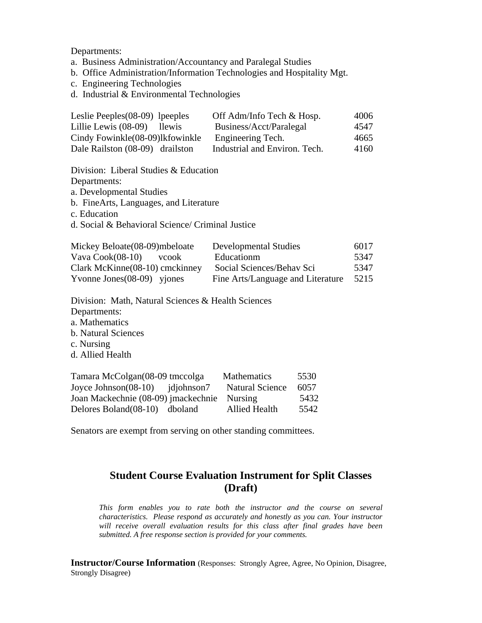Departments:

- a. Business Administration/Accountancy and Paralegal Studies
- b. Office Administration/Information Technologies and Hospitality Mgt.
- c. Engineering Technologies
- d. Industrial & Environmental Technologies

| Leslie Peeples $(08-09)$ lpeeples                | Off Adm/Info Tech & Hosp.     | 4006 |  |  |
|--------------------------------------------------|-------------------------------|------|--|--|
| Lillie Lewis (08-09)<br>llewis                   | Business/Acct/Paralegal       | 4547 |  |  |
| Cindy Fowinkle (08-09)lkfowinkle                 | Engineering Tech.             | 4665 |  |  |
| Dale Railston (08-09) drailston                  | Industrial and Environ. Tech. | 4160 |  |  |
|                                                  |                               |      |  |  |
| Division: Liberal Studies $& Education$          |                               |      |  |  |
| Departments:                                     |                               |      |  |  |
| a. Developmental Studies                         |                               |      |  |  |
| b. FineArts, Languages, and Literature           |                               |      |  |  |
| c. Education                                     |                               |      |  |  |
| d. Social & Behavioral Science/ Criminal Justice |                               |      |  |  |
|                                                  |                               |      |  |  |
| Mickey Beloate (08-09) mbeloate                  | Developmental Studies         | 6017 |  |  |

| Mickey Beloate(08-09)mbeloate  | <b>Developmental Studies</b>      | 6017 |
|--------------------------------|-----------------------------------|------|
| Vava Cook(08-10)<br>vcook      | Educationm                        | 5347 |
| Clark McKinne(08-10) cmckinney | Social Sciences/Behav Sci         | 5347 |
| Yvonne Jones $(08-09)$ yjones  | Fine Arts/Language and Literature | 5215 |

- Division: Math, Natural Sciences & Health Sciences Departments:
- a. Mathematics
- b. Natural Sciences
- c. Nursing
- d. Allied Health

| Tamara McColgan(08-09 tmccolga        | <b>Mathematics</b>     | 5530 |
|---------------------------------------|------------------------|------|
| Joyce Johnson $(08-10)$ idiohnson $7$ | <b>Natural Science</b> | 6057 |
| Joan Mackechnie (08-09) jmackechnie   | <b>Nursing</b>         | 5432 |
| Delores Boland (08-10) dboland        | Allied Health          | 5542 |

Senators are exempt from serving on other standing committees.

### **Student Course Evaluation Instrument for Split Classes (Draft)**

*This form enables you to rate both the instructor and the course on several characteristics. Please respond as accurately and honestly as you can. Your instructor will receive overall evaluation results for this class after final grades have been submitted. A free response section is provided for your comments.* 

**Instructor/Course Information** (Responses: Strongly Agree, Agree, No Opinion, Disagree, Strongly Disagree)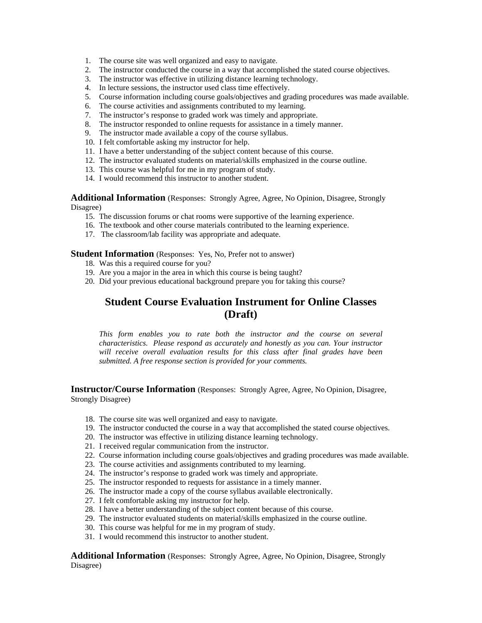- 1. The course site was well organized and easy to navigate.
- 2. The instructor conducted the course in a way that accomplished the stated course objectives.
- 3. The instructor was effective in utilizing distance learning technology.
- 4. In lecture sessions, the instructor used class time effectively.
- 5. Course information including course goals/objectives and grading procedures was made available.
- 6. The course activities and assignments contributed to my learning.
- 7. The instructor's response to graded work was timely and appropriate.
- 8. The instructor responded to online requests for assistance in a timely manner.
- 9. The instructor made available a copy of the course syllabus.
- 10. I felt comfortable asking my instructor for help.
- 11. I have a better understanding of the subject content because of this course.
- 12. The instructor evaluated students on material/skills emphasized in the course outline.
- 13. This course was helpful for me in my program of study.
- 14. I would recommend this instructor to another student.

**Additional Information** (Responses: Strongly Agree, Agree, No Opinion, Disagree, Strongly Disagree)

- 15. The discussion forums or chat rooms were supportive of the learning experience.
- 16. The textbook and other course materials contributed to the learning experience.
- 17. The classroom/lab facility was appropriate and adequate.

### **Student Information** (Responses: Yes, No, Prefer not to answer)

- 18. Was this a required course for you?
- 19. Are you a major in the area in which this course is being taught?
- 20. Did your previous educational background prepare you for taking this course?

# **Student Course Evaluation Instrument for Online Classes (Draft)**

*This form enables you to rate both the instructor and the course on several characteristics. Please respond as accurately and honestly as you can. Your instructor will receive overall evaluation results for this class after final grades have been submitted. A free response section is provided for your comments.* 

**Instructor/Course Information** (Responses: Strongly Agree, Agree, No Opinion, Disagree, Strongly Disagree)

- 18. The course site was well organized and easy to navigate.
- 19. The instructor conducted the course in a way that accomplished the stated course objectives.
- 20. The instructor was effective in utilizing distance learning technology.
- 21. I received regular communication from the instructor.
- 22. Course information including course goals/objectives and grading procedures was made available.
- 23. The course activities and assignments contributed to my learning.
- 24. The instructor's response to graded work was timely and appropriate.
- 25. The instructor responded to requests for assistance in a timely manner.
- 26. The instructor made a copy of the course syllabus available electronically.
- 27. I felt comfortable asking my instructor for help.
- 28. I have a better understanding of the subject content because of this course.
- 29. The instructor evaluated students on material/skills emphasized in the course outline.
- 30. This course was helpful for me in my program of study.
- 31. I would recommend this instructor to another student.

**Additional Information** (Responses: Strongly Agree, Agree, No Opinion, Disagree, Strongly Disagree)